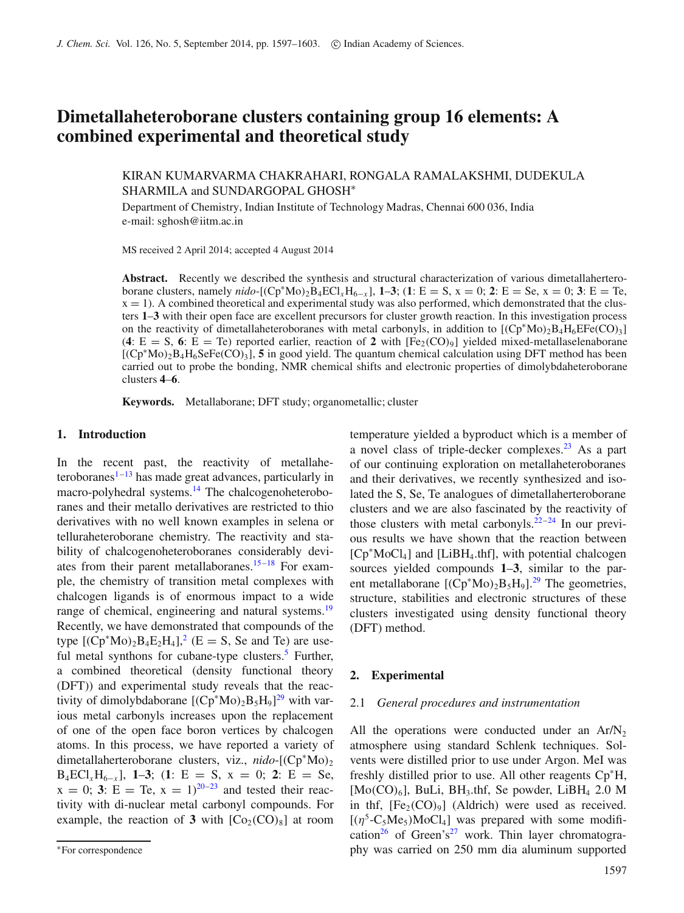# **Dimetallaheteroborane clusters containing group 16 elements: A combined experimental and theoretical study**

# KIRAN KUMARVARMA CHAKRAHARI, RONGALA RAMALAKSHMI, DUDEKULA SHARMILA and SUNDARGOPAL GHOSH<sup>\*</sup>

Department of Chemistry, Indian Institute of Technology Madras, Chennai 600 036, India e-mail: sghosh@iitm.ac.in

MS received 2 April 2014; accepted 4 August 2014

**Abstract.** Recently we described the synthesis and structural characterization of various dimetallaherteroborane clusters, namely  $nido$ - $[(Cp*Mo)_{2}B_{4}ECl_{x}H_{6-x}]$ , **1**–**3**; (**1**: E = S, x = 0; **2**: E = Se, x = 0; **3**: E = Te,  $x = 1$ ). A combined theoretical and experimental study was also performed, which demonstrated that the clusters **1**–**3** with their open face are excellent precursors for cluster growth reaction. In this investigation process on the reactivity of dimetallaheteroboranes with metal carbonyls, in addition to  $[(Cp^*Mo)_2B_4H_6EFe(CO)_3]$ (4: E = S, 6: E = Te) reported earlier, reaction of 2 with  $[Fe<sub>2</sub>(CO)<sub>9</sub>]$  yielded mixed-metallaselenaborane [(Cp∗Mo)2B4H6SeFe(CO)3], **<sup>5</sup>** in good yield. The quantum chemical calculation using DFT method has been carried out to probe the bonding, NMR chemical shifts and electronic properties of dimolybdaheteroborane clusters **4**–**6**.

**Keywords.** Metallaborane; DFT study; organometallic; cluster

#### **1. Introduction**

In the recent past, the reactivity of metallaheteroboranes $1-13$  has made great advances, particularly in macro-polyhedral systems.<sup>14</sup> The chalcogenoheteroboranes and their metallo derivatives are restricted to thio derivatives with no well known examples in selena or telluraheteroborane chemistry. The reactivity and stability of chalcogenoheteroboranes considerably deviates from their parent metallaboranes.<sup>15-18</sup> For example, the chemistry of transition metal complexes with chalcogen ligands is of enormous impact to a wide range of chemical, engineering and natural systems.<sup>19</sup> Recently, we have demonstrated that compounds of the type  $[(Cp*Mo)_2B_4E_2H_4]^2$  ( $E = S$ , Se and Te) are use-<br>ful metal synthons for cubane-type clusters <sup>5</sup> Further ful metal synthons for cubane-type clusters.<sup>5</sup> Further, a combined theoretical (density functional theory (DFT)) and experimental study reveals that the reactivity of dimolybdaborane  $[(Cp^*Mo)_2B_5H_9]^{29}$  $[(Cp^*Mo)_2B_5H_9]^{29}$  $[(Cp^*Mo)_2B_5H_9]^{29}$  with var-<br>ious metal carbonyls increases upon the replacement ious metal carbonyls increases upon the replacement of one of the open face boron vertices by chalcogen atoms. In this process, we have reported a variety of dimetallaherteroborane clusters, viz., *nido*-[(Cp<sup>∗</sup>Mo)<sub>2</sub><br>B.ECl H. 1 **1–3**; (1; E = S x = 0; 2; E = Se  $B_4ECl_xH_{6-x}$ , **1–3**; (**1**: E = S, x = 0; **2**: E = Se,  $x = 0$ ; **3**:  $E = Te$ ,  $x = 1$ )<sup>20[–23](#page-6-1)</sup> and tested their reactivity with di-nuclear metal carbonyl compounds. For example, the reaction of **3** with  $[Co_2(CO)_8]$  at room temperature yielded a byproduct which is a member of a novel class of triple-decker complexes. $^{23}$  As a part of our continuing exploration on metallaheteroboranes and their derivatives, we recently synthesized and isolated the S, Se, Te analogues of dimetallaherteroborane clusters and we are also fascinated by the reactivity of those clusters with metal carbonyls.<sup>22[–24](#page-6-3)</sup> In our previous results we have shown that the reaction between [Cp<sup>∗</sup>MoCl<sub>4</sub>] and [LiBH<sub>4</sub>.thf], with potential chalcogen sources yielded compounds **1**–**3**, similar to the parent metallaborane  $[(Cp*Mo)_2B_5H_9]^{29}$  The geometries,<br>structure, stabilities and electronic structures of these structure, stabilities and electronic structures of these clusters investigated using density functional theory (DFT) method.

### **2. Experimental**

#### 2.1 *General procedures and instrumentation*

All the operations were conducted under an  $Ar/N<sub>2</sub>$ atmosphere using standard Schlenk techniques. Solvents were distilled prior to use under Argon. MeI was freshly distilled prior to use. All other reagents Cp<sup>∗</sup>H,  $[Mo(CO)<sub>6</sub>]$ , BuLi, BH<sub>3</sub>.thf, Se powder, LiBH<sub>4</sub> 2.0 M in thf,  $[Fe<sub>2</sub>(CO)<sub>9</sub>]$  (Aldrich) were used as received.  $[(\eta^5{\text{-}}C_5Me_5)MoCl_4]$  was prepared with some modification<sup>26</sup> of Green's<sup>27</sup> work. Thin layer chromatography was carried on 250 mm dia aluminum supported

<sup>∗</sup>For correspondence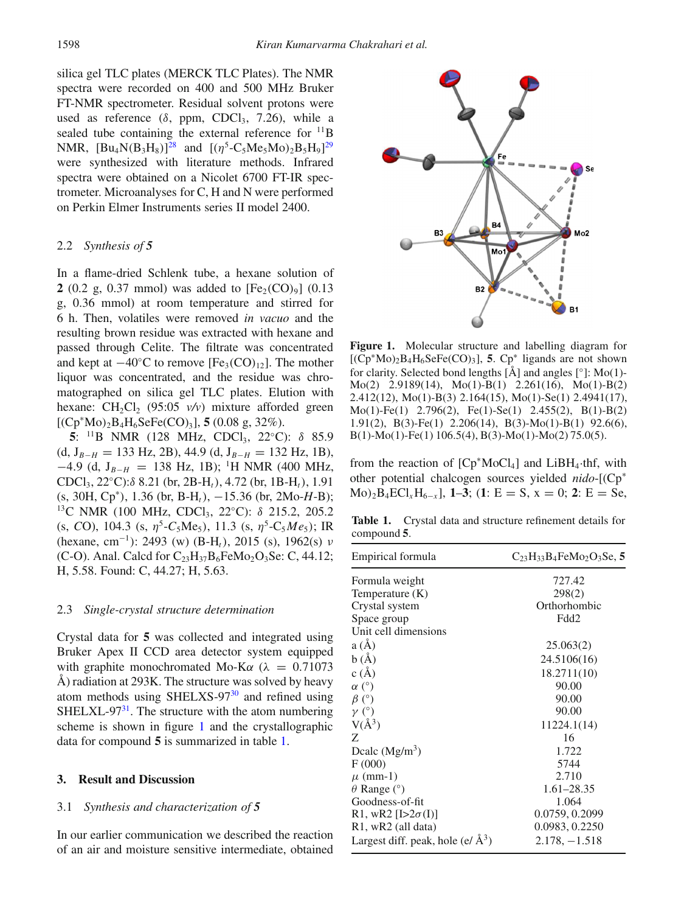silica gel TLC plates (MERCK TLC Plates). The NMR spectra were recorded on 400 and 500 MHz Bruker FT-NMR spectrometer. Residual solvent protons were used as reference ( $\delta$ , ppm, CDCl<sub>3</sub>, 7.26), while a sealed tube containing the external reference for  $^{11}B$ NMR,  $[Bu_4N(B_3H_8)]^{28}$  $[Bu_4N(B_3H_8)]^{28}$  $[Bu_4N(B_3H_8)]^{28}$  and  $[(\eta^5-C_5Me_5Mo)_2B_5H_9]^{29}$  $[(\eta^5-C_5Me_5Mo)_2B_5H_9]^{29}$  $[(\eta^5-C_5Me_5Mo)_2B_5H_9]^{29}$ <br>were synthesized with literature methods Infrared were synthesized with literature methods. Infrared spectra were obtained on a Nicolet 6700 FT-IR spectrometer. Microanalyses for C, H and N were performed on Perkin Elmer Instruments series II model 2400.

## 2.2 *Synthesis of 5*

In a flame-dried Schlenk tube, a hexane solution of **2** (0.2 g, 0.37 mmol) was added to  $[Fe_2(CO)_9]$  (0.13 g, 0.36 mmol) at room temperature and stirred for 6 h. Then, volatiles were removed *in vacuo* and the resulting brown residue was extracted with hexane and passed through Celite. The filtrate was concentrated and kept at  $-40$ °C to remove [Fe<sub>3</sub>(CO)<sub>12</sub>]. The mother liquor was concentrated, and the residue was chromatographed on silica gel TLC plates. Elution with hexane:  $CH_2Cl_2$  (95:05 *v/v*) mixture afforded green [(Cp<sup>∗</sup> Mo)2B4H6SeFe(CO)3], **<sup>5</sup>** (0.08 g, 32%).

**5**: <sup>11</sup>B NMR (128 MHz, CDCl<sub>3</sub>, 22°C): δ 85.9  $(d, J_{B-H} = 133 \text{ Hz}, 2B), 44.9 \ (d, J_{B-H} = 132 \text{ Hz}, 1B),$  $-4.9$  (d,  $J_{B-H}$  = 138 Hz, 1B); <sup>1</sup>H NMR (400 MHz, CDCl<sub>3</sub>, 22 $\degree$ C): $\delta$  8.21 (br, 2B-H<sub>t</sub>), 4.72 (br, 1B-H<sub>t</sub>), 1.91 (s, 30H, Cp<sup>\*</sup>), 1.36 (br, B-H<sub>t</sub>), −15.36 (br, 2Mo-H-B);<br><sup>13</sup>C NMR (100 MHz, CDCL, 22°C); 8.215.2.205.2 <sup>13</sup>C NMR (100 MHz, CDCl<sub>3</sub>, 22°C): δ 215.2, 205.2 (s, *CO*), 104.3 (s,  $\eta^5$ -*C*<sub>5</sub>Me<sub>5</sub>), 11.3 (s,  $\eta^5$ -*C*<sub>5</sub>*Me<sub>5</sub>*); IR (hexane, cm<sup>-1</sup>): 2493 (w) (B-H<sub>t</sub>), 2015 (s), 1962(s) ν (C-O). Anal. Calcd for  $C_{23}H_{37}B_6FeMo_2O_3Se$ : C, 44.12; H, 5.58. Found: C, 44.27; H, 5.63.

### 2.3 *Single-crystal structure determination*

Crystal data for **5** was collected and integrated using Bruker Apex II CCD area detector system equipped with graphite monochromated Mo-K $\alpha$  ( $\lambda = 0.71073$ ) Å) radiation at 293K. The structure was solved by heavy atom methods using SHELXS-97 $30$  and refined using SHELXL-97 $31$ . The structure with the atom numbering scheme is shown in figure [1](#page-1-0) and the crystallographic data for compound **5** is summarized in table [1.](#page-1-1)

## **3. Result and Discussion**

## 3.1 *Synthesis and characterization of 5*

In our earlier communication we described the reaction of an air and moisture sensitive intermediate, obtained

<span id="page-1-0"></span>Fe R4 B3  $Mo2$ Mc  $B<sub>2</sub>$ **Figure 1.** Molecular structure and labelling diagram for  $[(Cp*Mo)<sub>2</sub>B<sub>4</sub>H<sub>6</sub>SeFe(CO)<sub>3</sub>]$ , **5**.  $Cp*$  ligands are not shown for clarity. Selected bond lengths  $[\hat{A}]$  and angles  $[°]$ : Mo(1)-Mo(2) 2.9189(14), Mo(1)-B(1) 2.261(16), Mo(1)-B(2) 2.412(12), Mo(1)-B(3) 2.164(15), Mo(1)-Se(1) 2.4941(17),

Mo(1)-Fe(1) 2.796(2), Fe(1)-Se(1) 2.455(2), B(1)-B(2) 1.91(2), B(3)-Fe(1) 2.206(14), B(3)-Mo(1)-B(1) 92.6(6), B(1)-Mo(1)-Fe(1) 106.5(4), B(3)-Mo(1)-Mo(2) 75.0(5). from the reaction of  $[Cp^*MoCl_4]$  and  $LiBH_4$ ·thf, with

other potential chalcogen sources yielded *nido*-[(Cp<sup>∗</sup>  $\text{Mo}_{2}B_{4}\text{ECl}_{x}H_{6-x}$ , 1–3; (1: E = S, x = 0; 2: E = Se,

<span id="page-1-1"></span>**Table 1.** Crystal data and structure refinement details for compound **5**.

| Empirical formula                                   | $C_{23}H_{33}B_4FeMo_2O_3Se$ , 5 |  |  |
|-----------------------------------------------------|----------------------------------|--|--|
| Formula weight                                      | 727.42                           |  |  |
| Temperature (K)                                     | 298(2)                           |  |  |
| Crystal system                                      | Orthorhombic                     |  |  |
| Space group                                         | Fdd2                             |  |  |
| Unit cell dimensions                                |                                  |  |  |
| a(A)                                                | 25.063(2)                        |  |  |
| b(A)                                                | 24.5106(16)                      |  |  |
| c(A)                                                | 18.2711(10)                      |  |  |
| $\alpha$ (°)                                        | 90.00                            |  |  |
| $\beta$ (°)                                         | 90.00                            |  |  |
| $\nu$ (°)                                           | 90.00                            |  |  |
| $V(A^3)$                                            | 11224.1(14)                      |  |  |
| Z                                                   | 16                               |  |  |
| Deale $(Mg/m^3)$                                    | 1.722                            |  |  |
| F(000)                                              | 5744                             |  |  |
| $\mu$ (mm-1)                                        | 2.710                            |  |  |
| $\theta$ Range (°)                                  | $1.61 - 28.35$                   |  |  |
| Goodness-of-fit                                     | 1.064                            |  |  |
| R <sub>1</sub> , wR <sub>2</sub> [I>2 $\sigma$ (I)] | 0.0759, 0.2099                   |  |  |
| R <sub>1</sub> , wR <sub>2</sub> (all data)         | 0.0983, 0.2250                   |  |  |
| Largest diff. peak, hole (e/ $\AA^3$ )              | $2.178, -1.518$                  |  |  |

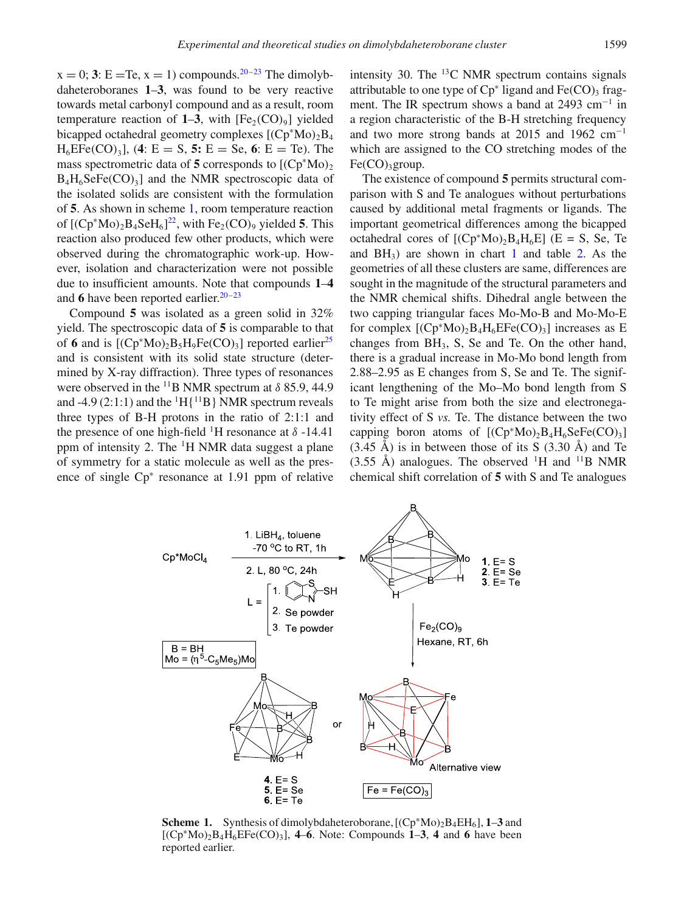$x = 0$ ; **3**: E = Te,  $x = 1$ ) compounds. <sup>20-23</sup> The dimolybdaheteroboranes **1**–**3**, was found to be very reactive towards metal carbonyl compound and as a result, room temperature reaction of  $1-3$ , with  $[Fe_2(CO)_9]$  yielded bicapped octahedral geometry complexes  $[(Cp*Mo)_2B_4]$ <br>H-EEe(CO).1 (4: E – S 5: E – Se 6: E – Te). The  $H_6EFe(CO)_3$ , (4: E = S, 5: E = Se, 6: E = Te). The mass spectrometric data of **5** corresponds to  $[(Cp*Mo)_2]$ <br>B.H.SeEe(CO).1 and the NMR spectroscopic data of  $B_4H_6SeFe(CO)_3$ ] and the NMR spectroscopic data of the isolated solids are consistent with the formulation of **5**. As shown in scheme [1,](#page-2-0) room temperature reaction of  $[(Cp^*Mo)_2B_4SeH_6]^2$ , with Fe<sub>2</sub>(CO)<sub>9</sub> yielded **5**. This reaction also produced few other products, which were reaction also produced few other products, which were observed during the chromatographic work-up. However, isolation and characterization were not possible due to insufficient amounts. Note that compounds **1**–**4** and  $6$  have been reported earlier.<sup>20[–23](#page-6-1)</sup>

Compound **5** was isolated as a green solid in 32% yield. The spectroscopic data of **5** is comparable to that of 6 and is  $[(Cp*Mo)_2B_5H_9Fe(CO)_3]$  reported earlier<sup>25</sup> and is consistent with its solid state structure (determined by X-ray diffraction). Three types of resonances were observed in the <sup>11</sup>B NMR spectrum at  $\delta$  85.9, 44.9 and -4.9 (2:1:1) and the  ${}^{1}H{^{11}B}$  NMR spectrum reveals three types of B-H protons in the ratio of 2:1:1 and the presence of one high-field <sup>1</sup>H resonance at  $\delta$  -14.41 ppm of intensity 2. The  ${}^{1}$ H NMR data suggest a plane of symmetry for a static molecule as well as the presence of single Cp<sup>∗</sup> resonance at 1.91 ppm of relative intensity 30. The  $^{13}$ C NMR spectrum contains signals attributable to one type of  $Cp^*$  ligand and  $Fe(CO)$ <sub>3</sub> fragment. The IR spectrum shows a band at  $2493 \text{ cm}^{-1}$  in a region characteristic of the B-H stretching frequency and two more strong bands at 2015 and 1962 cm−<sup>1</sup> which are assigned to the CO stretching modes of the  $Fe(CO)$ <sub>3</sub>group.

The existence of compound **5** permits structural comparison with S and Te analogues without perturbations caused by additional metal fragments or ligands. The important geometrical differences among the bicapped octahedral cores of  $[(Cp*Mo)_2B_4H_6E]$  (E = S, Se, Te and  $BH<sub>3</sub>$ ) are shown in chart [1](#page-1-0) and table [2.](#page-3-0) As the geometries of all these clusters are same, differences are sought in the magnitude of the structural parameters and the NMR chemical shifts. Dihedral angle between the two capping triangular faces Mo-Mo-B and Mo-Mo-E for complex  $[(Cp*Mo)_2B_4H_6EFe(CO)_3]$  increases as E changes from  $BH<sub>3</sub>$ , S, Se and Te. On the other hand, there is a gradual increase in Mo-Mo bond length from 2.88–2.95 as E changes from S, Se and Te. The significant lengthening of the Mo–Mo bond length from S to Te might arise from both the size and electronegativity effect of S *vs.* Te. The distance between the two capping boron atoms of  $[(Cp*Mo)_2B_4H_6SeFe(CO)_3]$  $(3.45 \text{ Å})$  is in between those of its S  $(3.30 \text{ Å})$  and Te  $(3.55 \text{ Å})$  analogues. The observed <sup>1</sup>H and <sup>11</sup>B NMR chemical shift correlation of **5** with S and Te analogues



<span id="page-2-0"></span>**Scheme 1.** Synthesis of dimolybdaheteroborane,[(Cp∗Mo)2B4EH6], **1**–**3** and [(Cp∗Mo)2B4H6EFe(CO)3], **4**–**6**. Note: Compounds **1**–**3**, **4** and **6** have been reported earlier.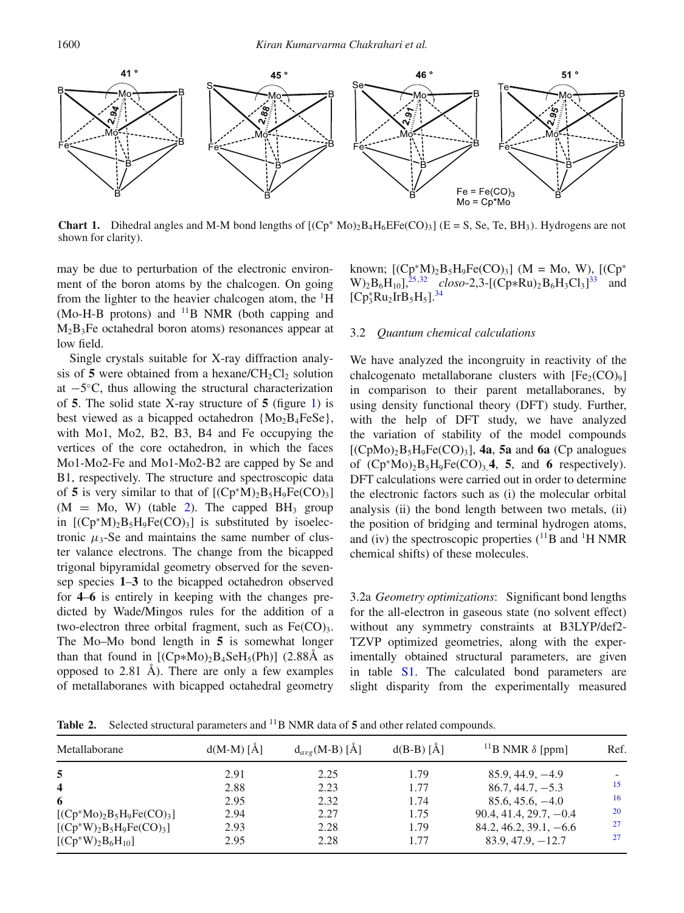

**Chart 1.** Dihedral angles and M-M bond lengths of  $[(Cp*Mo)_2B_4H_6EFe(CO)_3]$  ( $E = S$ , Se, Te, BH<sub>3</sub>). Hydrogens are not shown for clarity).

may be due to perturbation of the electronic environment of the boron atoms by the chalcogen. On going from the lighter to the heavier chalcogen atom, the  ${}^{1}$ H  $(Mo-H-B$  protons) and  $^{11}B$  NMR (both capping and  $M_2B_3Fe$  octahedral boron atoms) resonances appear at low field.

Single crystals suitable for X-ray diffraction analysis of  $5$  were obtained from a hexane/ $CH_2Cl_2$  solution at −5◦C, thus allowing the structural characterization of **5**. The solid state X-ray structure of **5** (figure [1\)](#page-1-0) is best viewed as a bicapped octahedron  ${Mo_2B_4FeSe}$ , with Mo1, Mo2, B2, B3, B4 and Fe occupying the vertices of the core octahedron, in which the faces Mo1-Mo2-Fe and Mo1-Mo2-B2 are capped by Se and B1, respectively. The structure and spectroscopic data of **5** is very similar to that of  $[(Cp^*M)_2B_5H_9Fe(CO)_3]$  $(M = Mo, W)$  (table [2\)](#page-3-0). The capped BH<sub>3</sub> group in  $[(Cp^*M)_2B_5H_9Fe(CO)_3]$  is substituted by isoelectronic  $\mu_3$ -Se and maintains the same number of cluster valance electrons. The change from the bicapped trigonal bipyramidal geometry observed for the sevensep species **1**–**3** to the bicapped octahedron observed for **4**–**6** is entirely in keeping with the changes predicted by Wade/Mingos rules for the addition of a two-electron three orbital fragment, such as  $Fe(CO)_{3}$ . The Mo–Mo bond length in **5** is somewhat longer than that found in  $[(Cp * Mo)<sub>2</sub>B<sub>4</sub>SeH<sub>5</sub>(Ph)]$  (2.88Å as opposed to  $2.81 \text{ Å}$ ). There are only a few examples of metallaboranes with bicapped octahedral geometry known;  $[(Cp^*M)_2B_5H_9Fe(CO)_3]$  (M = Mo, W),  $[(Cp^*$  $W$ )<sub>2</sub>B<sub>6</sub>H<sub>10</sub>],<sup>25,[32](#page-6-10)</sup> *closo*-2,3-[(Cp\*Ru)<sub>2</sub>B<sub>6</sub>H<sub>3</sub>Cl<sub>3</sub>]<sup>[33](#page-6-11)</sup> and  $[Cp_3^*Ru_2IrB_5H_5].^{34}$ 

### 3.2 *Quantum chemical calculations*

We have analyzed the incongruity in reactivity of the chalcogenato metallaborane clusters with  $[Fe<sub>2</sub>(CO)<sub>9</sub>]$ in comparison to their parent metallaboranes, by using density functional theory (DFT) study. Further, with the help of DFT study, we have analyzed the variation of stability of the model compounds  $[(CpMo)<sub>2</sub>B<sub>5</sub>H<sub>9</sub>Fe(CO)<sub>3</sub>]$ , **4a**, **5a** and **6a** (Cp analogues of  $(Cp*Mo)$ <sub>2</sub>B<sub>5</sub>H<sub>9</sub>Fe(CO)<sub>3</sub>**4**, **5**, and **6** respectively). DFT calculations were carried out in order to determine the electronic factors such as (i) the molecular orbital analysis (ii) the bond length between two metals, (ii) the position of bridging and terminal hydrogen atoms, and (iv) the spectroscopic properties  $(^{11}B$  and  $^1H$  NMR chemical shifts) of these molecules.

3.2a *Geometry optimizations*: Significant bond lengths for the all-electron in gaseous state (no solvent effect) without any symmetry constraints at B3LYP/def2- TZVP optimized geometries, along with the experimentally obtained structural parameters, are given in table S1. The calculated bond parameters are slight disparity from the experimentally measured

<span id="page-3-0"></span>**Table 2.** Selected structural parameters and <sup>11</sup>B NMR data of **5** and other related compounds.

| Metallaborane               | $d(M-M) [\AA]$ | $d_{ave}(M-B) [\AA]$ | $d(B-B) [\AA]$ | <sup>11</sup> B NMR $\delta$ [ppm] | Ref. |
|-----------------------------|----------------|----------------------|----------------|------------------------------------|------|
| 5                           | 2.91           | 2.25                 | 1.79           | $85.9, 44.9, -4.9$                 |      |
| $\overline{\mathbf{4}}$     | 2.88           | 2.23                 | 1.77           | $86.7, 44.7, -5.3$                 | 15   |
| 6                           | 2.95           | 2.32                 | 1.74           | $85.6, 45.6, -4.0$                 | 16   |
| $[(Cp*Mo)_2B_5H_9Fe(CO)_3]$ | 2.94           | 2.27                 | 1.75           | $90.4, 41.4, 29.7, -0.4$           | 20   |
| $[(Cp*W)2B5H9Fe(CO)3]$      | 2.93           | 2.28                 | 1.79           | $84.2, 46.2, 39.1, -6.6$           | 27   |
| $[(Cp*W)2B6H10]$            | 2.95           | 2.28                 | 1.77           | $83.9, 47.9, -12.7$                | 27   |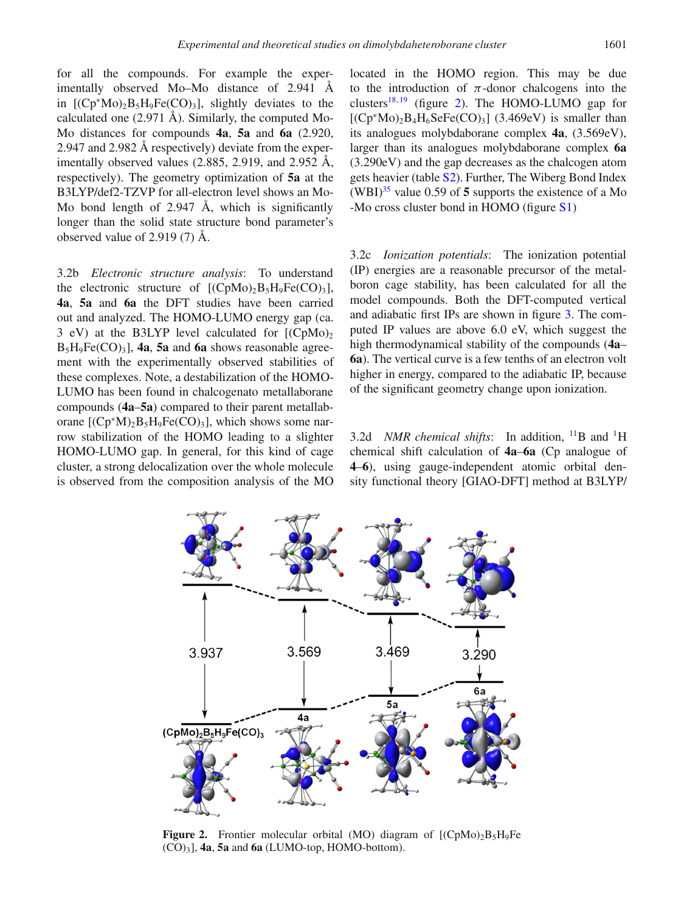for all the compounds. For example the experimentally observed Mo–Mo distance of 2.941 Å in  $[(Cp*Mo)_2B_5H_9Fe(CO)_3]$ , slightly deviates to the calculated one (2.971 Å). Similarly, the computed Mo-Mo distances for compounds **4a**, **5a** and **6a** (2.920, 2.947 and 2.982 Å respectively) deviate from the experimentally observed values (2.885, 2.919, and 2.952 Å, respectively). The geometry optimization of **5a** at the B3LYP/def2-TZVP for all-electron level shows an Mo-Mo bond length of 2.947 Å, which is significantly longer than the solid state structure bond parameter's observed value of 2.919 (7) Å.

3.2b *Electronic structure analysis*: To understand the electronic structure of  $[(CpMo),B_5H_9Fe(CO)_3]$ , **4a**, **5a** and **6a** the DFT studies have been carried out and analyzed. The HOMO-LUMO energy gap (ca. 3 eV) at the B3LYP level calculated for  $[(CpMo)_2]$ B5H9Fe(CO)3], **4a**, **5a** and **6a** shows reasonable agreement with the experimentally observed stabilities of these complexes. Note, a destabilization of the HOMO-LUMO has been found in chalcogenato metallaborane compounds (**4a**–**5a**) compared to their parent metallaborane  $[(Cp^*M)_2B_5H_9Fe(CO)_3]$ , which shows some narrow stabilization of the HOMO leading to a slighter HOMO-LUMO gap. In general, for this kind of cage cluster, a strong delocalization over the whole molecule is observed from the composition analysis of the MO located in the HOMO region. This may be due to the introduction of  $\pi$ -donor chalcogens into the clusters<sup>18,[19](#page-5-5)</sup> (figure [2\)](#page-4-0). The HOMO-LUMO gap for  $[(Cp*Mo),B<sub>4</sub>H<sub>6</sub>SeFe(CO)<sub>3</sub>]$  (3.469eV) is smaller than its analogues molybdaborane complex **4a**, (3.569eV), larger than its analogues molybdaborane complex **6a** (3.290eV) and the gap decreases as the chalcogen atom gets heavier (table S2). Further, The Wiberg Bond Index (WBI) $^{35}$  value 0.59 of 5 supports the existence of a Mo -Mo cross cluster bond in HOMO (figure S1)

3.2c *Ionization potentials*: The ionization potential (IP) energies are a reasonable precursor of the metalboron cage stability, has been calculated for all the model compounds. Both the DFT-computed vertical and adiabatic first IPs are shown in figure [3.](#page-5-10) The computed IP values are above 6.0 eV, which suggest the high thermodynamical stability of the compounds (**4a**– **6a**). The vertical curve is a few tenths of an electron volt higher in energy, compared to the adiabatic IP, because of the significant geometry change upon ionization.

3.2d *NMR chemical shifts*: In addition,  $^{11}B$  and  $^{1}H$ chemical shift calculation of **4a**–**6a** (Cp analogue of **4**–**6**), using gauge-independent atomic orbital density functional theory [GIAO-DFT] method at B3LYP/

<span id="page-4-0"></span>

**Figure 2.** Frontier molecular orbital (MO) diagram of  $[(CpMo)<sub>2</sub>B<sub>5</sub>H<sub>9</sub>Fe$ (CO)3], **4a**, **5a** and **6a** (LUMO-top, HOMO-bottom).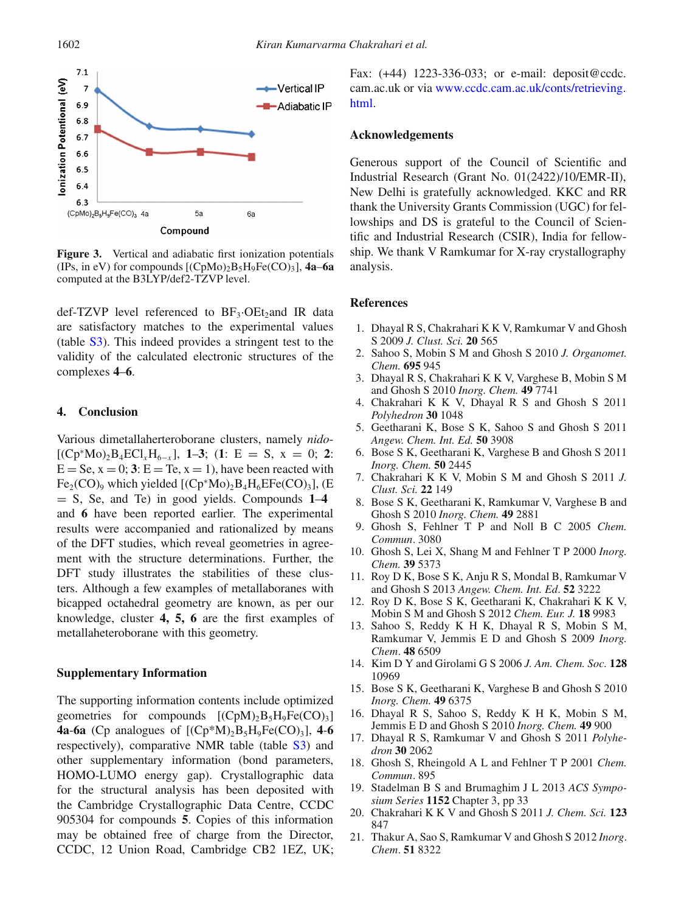<span id="page-5-10"></span>

**Figure 3.** Vertical and adiabatic first ionization potentials (IPs, in eV) for compounds  $[(CpMo)<sub>2</sub>B<sub>5</sub>H<sub>9</sub>Fe(CO)<sub>3</sub>]$ , **4a–6a** computed at the B3LYP/def2-TZVP level.

def-TZVP level referenced to  $BF_3$  $OE_3$  and IR data are satisfactory matches to the experimental values (table S3). This indeed provides a stringent test to the validity of the calculated electronic structures of the complexes **4**–**6**.

## **4. Conclusion**

Various dimetallaherteroborane clusters, namely *nido*-  $[(Cp*Mo),B_4ECl_rH_{6-r}],$  **1–3**; (1: E = S, x = 0; 2:  $E = Se$ ,  $x = 0$ ;  $3$ :  $E = Te$ ,  $x = 1$ ), have been reacted with  $Fe<sub>2</sub>(CO)<sub>9</sub>$  which yielded  $[(Cp*Mo)<sub>2</sub>B<sub>4</sub>H<sub>6</sub>EF<sub>e</sub>(CO)<sub>3</sub>], (E)$ = S, Se, and Te) in good yields. Compounds **1**–**4** and **6** have been reported earlier. The experimental results were accompanied and rationalized by means of the DFT studies, which reveal geometries in agreement with the structure determinations. Further, the DFT study illustrates the stabilities of these clusters. Although a few examples of metallaboranes with bicapped octahedral geometry are known, as per our knowledge, cluster **4, 5, 6** are the first examples of metallaheteroborane with this geometry.

## **Supplementary Information**

The supporting information contents include optimized geometries for compounds  $[(CpM)<sub>2</sub>B<sub>5</sub>H<sub>9</sub>Fe(CO)<sub>3</sub>]$ **4a-6a** (Cp analogues of  $[(Cp*M)_2B_5H_9Fe(CO)_3]$ , **4-6** respectively), comparative NMR table (table S3) and other supplementary information (bond parameters, HOMO-LUMO energy gap). Crystallographic data for the structural analysis has been deposited with the Cambridge Crystallographic Data Centre, CCDC 905304 for compounds **5**. Copies of this information may be obtained free of charge from the Director, CCDC, 12 Union Road, Cambridge CB2 1EZ, UK;

Fax: (+44) 1223-336-033; or e-mail: deposit@ccdc. cam.ac.uk or via [www.ccdc.cam.ac.uk/conts/retrieving.](www.ccdc.cam.ac.uk/conts/retrieving.html) [html.](www.ccdc.cam.ac.uk/conts/retrieving.html)

## **Acknowledgements**

Generous support of the Council of Scientific and Industrial Research (Grant No. 01(2422)/10/EMR-II), New Delhi is gratefully acknowledged. KKC and RR thank the University Grants Commission (UGC) for fellowships and DS is grateful to the Council of Scientific and Industrial Research (CSIR), India for fellowship. We thank V Ramkumar for X-ray crystallography analysis.

#### **References**

- <span id="page-5-0"></span>1. Dhayal R S, Chakrahari K K V, Ramkumar V and Ghosh S 2009 *J. Clust. Sci.* **20** 565
- <span id="page-5-6"></span>2. Sahoo S, Mobin S M and Ghosh S 2010 *J. Organomet. Chem.* **695** 945
- 3. Dhayal R S, Chakrahari K K V, Varghese B, Mobin S M and Ghosh S 2010 *Inorg. Chem.* **49** 7741
- 4. Chakrahari K K V, Dhayal R S and Ghosh S 2011 *Polyhedron* **30** 1048
- <span id="page-5-7"></span>5. Geetharani K, Bose S K, Sahoo S and Ghosh S 2011 *Angew. Chem. Int. Ed.* **50** 3908
- 6. Bose S K, Geetharani K, Varghese B and Ghosh S 2011 *Inorg. Chem.* **50** 2445
- 7. Chakrahari K K V, Mobin S M and Ghosh S 2011 *J. Clust. Sci.* **22** 149
- 8. Bose S K, Geetharani K, Ramkumar V, Varghese B and Ghosh S 2010 *Inorg. Chem.* **49** 2881
- 9. Ghosh S, Fehlner T P and Noll B C 2005 *Chem. Commun*. 3080
- 10. Ghosh S, Lei X, Shang M and Fehlner T P 2000 *Inorg. Chem.* **39** 5373
- 11. Roy D K, Bose S K, Anju R S, Mondal B, Ramkumar V and Ghosh S 2013 *Angew. Chem. Int. Ed*. **52** 3222
- 12. Roy D K, Bose S K, Geetharani K, Chakrahari K K V, Mobin S M and Ghosh S 2012 *Chem. Eur. J.* **18** 9983
- <span id="page-5-1"></span>13. Sahoo S, Reddy K H K, Dhayal R S, Mobin S M, Ramkumar V, Jemmis E D and Ghosh S 2009 *Inorg. Chem*. **48** 6509
- <span id="page-5-2"></span>14. Kim D Y and Girolami G S 2006 *J. Am. Chem. Soc.* **128** 10969
- <span id="page-5-3"></span>15. Bose S K, Geetharani K, Varghese B and Ghosh S 2010 *Inorg. Chem.* **49** 6375
- <span id="page-5-9"></span>16. Dhayal R S, Sahoo S, Reddy K H K, Mobin S M, Jemmis E D and Ghosh S 2010 *Inorg. Chem.* **49** 900
- 17. Dhayal R S, Ramkumar V and Ghosh S 2011 *Polyhedron* **30** 2062
- <span id="page-5-4"></span>18. Ghosh S, Rheingold A L and Fehlner T P 2001 *Chem. Commun*. 895
- <span id="page-5-5"></span>19. Stadelman B S and Brumaghim J L 2013 *ACS Symposium Series* **1152** Chapter 3, pp 33
- <span id="page-5-8"></span>20. Chakrahari K K V and Ghosh S 2011 *J. Chem. Sci.* **123** 847
- 21. Thakur A, Sao S, Ramkumar V and Ghosh S 2012 *Inorg*. *Chem*. **51** 8322